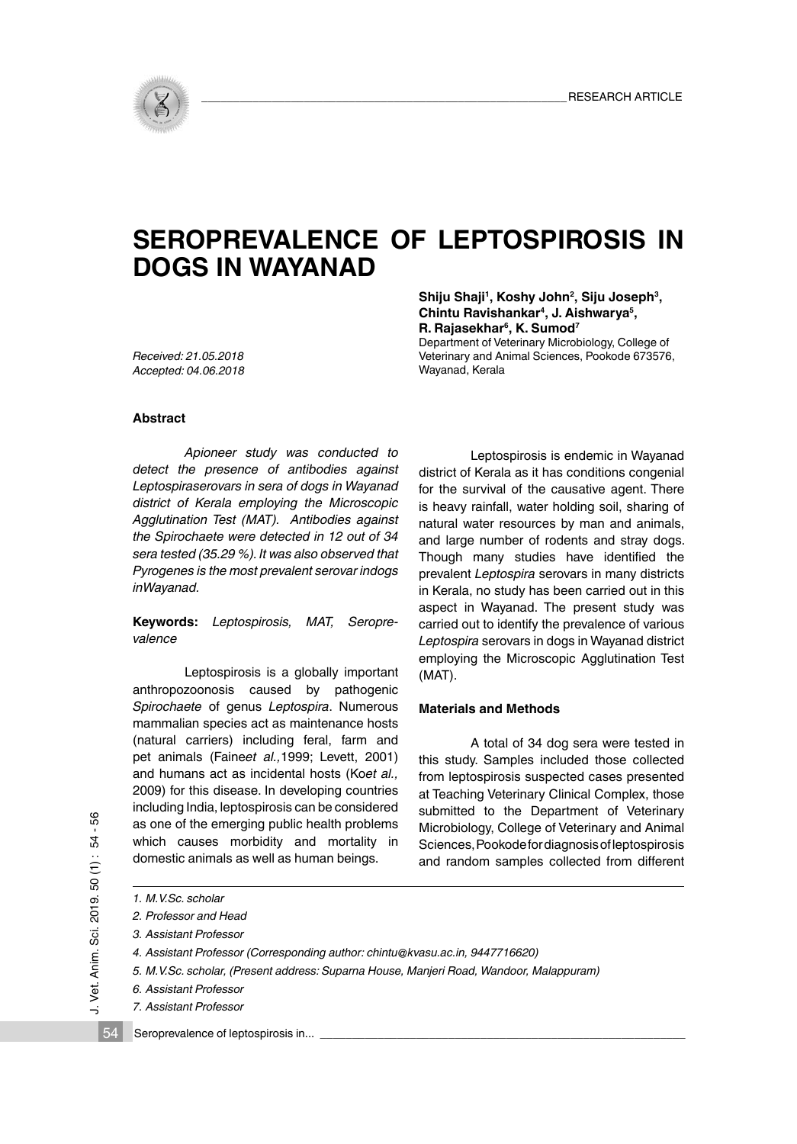# **SEROPREVALENCE OF LEPTOSPIROSIS IN DOGS IN WAYANAD**

**Shiju Shaji1, Koshy John2, Siju Joseph3, Chintu Ravishankar4, J. Aishwarya5, R. Rajasekhar6, K. Sumod7**

Department of Veterinary Microbiology, College of Veterinary and Animal Sciences, Pookode 673576, Wayanad, Kerala

*Received: 21.05.2018 Accepted: 04.06.2018*

#### **Abstract**

*Apioneer study was conducted to detect the presence of antibodies against Leptospiraserovars in sera of dogs in Wayanad district of Kerala employing the Microscopic Agglutination Test (MAT). Antibodies against the Spirochaete were detected in 12 out of 34 sera tested (35.29 %). It was also observed that Pyrogenes is the most prevalent serovar indogs inWayanad.* 

**Keywords:** *Leptospirosis, MAT, Seroprevalence*

 Leptospirosis is a globally important anthropozoonosis caused by pathogenic *Spirochaete* of genus *Leptospira*. Numerous mammalian species act as maintenance hosts (natural carriers) including feral, farm and pet animals (Faine*et al.,*1999; Levett, 2001) and humans act as incidental hosts (Ko*et al.,* 2009) for this disease. In developing countries including India, leptospirosis can be considered as one of the emerging public health problems which causes morbidity and mortality in domestic animals as well as human beings.

 Leptospirosis is endemic in Wayanad district of Kerala as it has conditions congenial for the survival of the causative agent. There is heavy rainfall, water holding soil, sharing of natural water resources by man and animals, and large number of rodents and stray dogs. Though many studies have identified the prevalent *Leptospira* serovars in many districts in Kerala, no study has been carried out in this aspect in Wayanad. The present study was carried out to identify the prevalence of various *Leptospira* serovars in dogs in Wayanad district employing the Microscopic Agglutination Test (MAT).

#### **Materials and Methods**

 A total of 34 dog sera were tested in this study. Samples included those collected from leptospirosis suspected cases presented at Teaching Veterinary Clinical Complex, those submitted to the Department of Veterinary Microbiology, College of Veterinary and Animal Sciences, Pookode for diagnosis of leptospirosis and random samples collected from different

54 Seroprevalence of leptospirosis in...

 $\overline{\phantom{a}}$ 

*<sup>1.</sup> M.V.Sc. scholar*

*<sup>2.</sup> Professor and Head*

*<sup>3.</sup> Assistant Professor*

*<sup>4.</sup> Assistant Professor (Corresponding author: chintu@kvasu.ac.in, 9447716620)*

*<sup>5.</sup> M.V.Sc. scholar, (Present address: Suparna House, Manjeri Road, Wandoor, Malappuram)*

*<sup>6.</sup> Assistant Professor*

*<sup>7.</sup> Assistant Professor*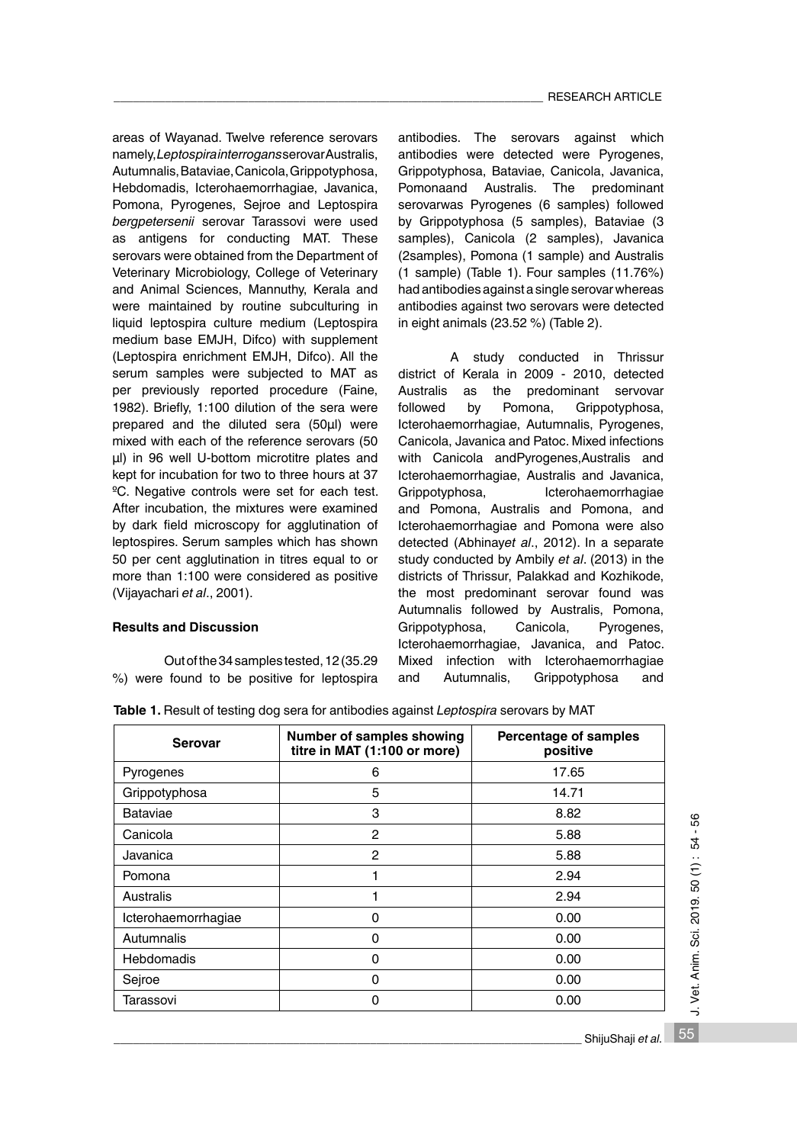areas of Wayanad. Twelve reference serovars namely, *Leptospira interrogans* serovar Australis, Autumnalis, Bataviae, Canicola, Grippotyphosa, Hebdomadis, Icterohaemorrhagiae, Javanica, Pomona, Pyrogenes, Sejroe and Leptospira *bergpetersenii* serovar Tarassovi were used as antigens for conducting MAT. These serovars were obtained from the Department of Veterinary Microbiology, College of Veterinary and Animal Sciences, Mannuthy, Kerala and were maintained by routine subculturing in liquid leptospira culture medium (Leptospira medium base EMJH, Difco) with supplement (Leptospira enrichment EMJH, Difco). All the serum samples were subjected to MAT as per previously reported procedure (Faine, 1982). Briefly, 1:100 dilution of the sera were prepared and the diluted sera (50μl) were mixed with each of the reference serovars (50 μl) in 96 well U-bottom microtitre plates and kept for incubation for two to three hours at 37 ºC. Negative controls were set for each test. After incubation, the mixtures were examined by dark field microscopy for agglutination of leptospires. Serum samples which has shown 50 per cent agglutination in titres equal to or more than 1:100 were considered as positive (Vijayachari *et al*., 2001).

#### **Results and Discussion**

Out of the 34 samples tested, 12 (35.29 %) were found to be positive for leptospira antibodies. The serovars against which antibodies were detected were Pyrogenes, Grippotyphosa, Bataviae, Canicola, Javanica, Pomonaand Australis. The predominant serovarwas Pyrogenes (6 samples) followed by Grippotyphosa (5 samples), Bataviae (3 samples), Canicola (2 samples), Javanica (2samples), Pomona (1 sample) and Australis (1 sample) (Table 1). Four samples (11.76%) had antibodies against a single serovar whereas antibodies against two serovars were detected in eight animals (23.52 %) (Table 2).

 A study conducted in Thrissur district of Kerala in 2009 - 2010, detected Australis as the predominant servovar followed by Pomona, Grippotyphosa, Icterohaemorrhagiae, Autumnalis, Pyrogenes, Canicola, Javanica and Patoc. Mixed infections with Canicola andPyrogenes,Australis and Icterohaemorrhagiae, Australis and Javanica, Grippotyphosa, **Icterohaemorrhagiae** and Pomona, Australis and Pomona, and Icterohaemorrhagiae and Pomona were also detected (Abhinay*et al*., 2012). In a separate study conducted by Ambily *et al*. (2013) in the districts of Thrissur, Palakkad and Kozhikode, the most predominant serovar found was Autumnalis followed by Australis, Pomona, Grippotyphosa, Canicola, Pyrogenes, Icterohaemorrhagiae, Javanica, and Patoc. Mixed infection with Icterohaemorrhagiae and Autumnalis, Grippotyphosa and

|  |  |  |  |  |  |  | Table 1. Result of testing dog sera for antibodies against Leptospira serovars by MAT |
|--|--|--|--|--|--|--|---------------------------------------------------------------------------------------|
|--|--|--|--|--|--|--|---------------------------------------------------------------------------------------|

| <b>Serovar</b>      | Number of samples showing<br>titre in MAT (1:100 or more) | <b>Percentage of samples</b><br>positive |
|---------------------|-----------------------------------------------------------|------------------------------------------|
| Pyrogenes           | 6                                                         | 17.65                                    |
| Grippotyphosa       | 5                                                         | 14.71                                    |
| <b>Bataviae</b>     | 3                                                         | 8.82                                     |
| Canicola            | 2                                                         | 5.88                                     |
| Javanica            | 2                                                         | 5.88                                     |
| Pomona              |                                                           | 2.94                                     |
| Australis           |                                                           | 2.94                                     |
| Icterohaemorrhagiae | 0                                                         | 0.00                                     |
| Autumnalis          | $\Omega$                                                  | 0.00                                     |
| <b>Hebdomadis</b>   | $\Omega$                                                  | 0.00                                     |
| Sejroe              | $\Omega$                                                  | 0.00                                     |
| Tarassovi           | 0                                                         | 0.00                                     |

56

J. Vet. Anim. Sci. 2019. 50 (1): 54-